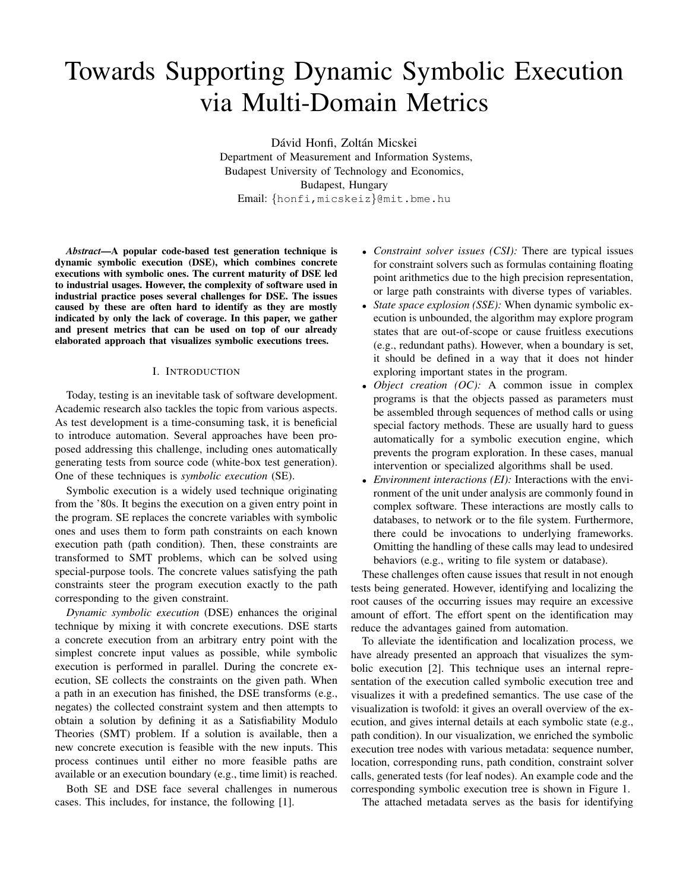# Towards Supporting Dynamic Symbolic Execution via Multi-Domain Metrics

Dávid Honfi, Zoltán Micskei Department of Measurement and Information Systems, Budapest University of Technology and Economics, Budapest, Hungary Email: {honfi,micskeiz}@mit.bme.hu

*Abstract*—A popular code-based test generation technique is dynamic symbolic execution (DSE), which combines concrete executions with symbolic ones. The current maturity of DSE led to industrial usages. However, the complexity of software used in industrial practice poses several challenges for DSE. The issues caused by these are often hard to identify as they are mostly indicated by only the lack of coverage. In this paper, we gather and present metrics that can be used on top of our already elaborated approach that visualizes symbolic executions trees.

## I. INTRODUCTION

Today, testing is an inevitable task of software development. Academic research also tackles the topic from various aspects. As test development is a time-consuming task, it is beneficial to introduce automation. Several approaches have been proposed addressing this challenge, including ones automatically generating tests from source code (white-box test generation). One of these techniques is *symbolic execution* (SE).

Symbolic execution is a widely used technique originating from the '80s. It begins the execution on a given entry point in the program. SE replaces the concrete variables with symbolic ones and uses them to form path constraints on each known execution path (path condition). Then, these constraints are transformed to SMT problems, which can be solved using special-purpose tools. The concrete values satisfying the path constraints steer the program execution exactly to the path corresponding to the given constraint.

*Dynamic symbolic execution* (DSE) enhances the original technique by mixing it with concrete executions. DSE starts a concrete execution from an arbitrary entry point with the simplest concrete input values as possible, while symbolic execution is performed in parallel. During the concrete execution, SE collects the constraints on the given path. When a path in an execution has finished, the DSE transforms (e.g., negates) the collected constraint system and then attempts to obtain a solution by defining it as a Satisfiability Modulo Theories (SMT) problem. If a solution is available, then a new concrete execution is feasible with the new inputs. This process continues until either no more feasible paths are available or an execution boundary (e.g., time limit) is reached.

Both SE and DSE face several challenges in numerous cases. This includes, for instance, the following [\[1\]](#page-3-0).

- *Constraint solver issues (CSI):* There are typical issues for constraint solvers such as formulas containing floating point arithmetics due to the high precision representation, or large path constraints with diverse types of variables.
- *State space explosion (SSE):* When dynamic symbolic execution is unbounded, the algorithm may explore program states that are out-of-scope or cause fruitless executions (e.g., redundant paths). However, when a boundary is set, it should be defined in a way that it does not hinder exploring important states in the program.
- *Object creation (OC):* A common issue in complex programs is that the objects passed as parameters must be assembled through sequences of method calls or using special factory methods. These are usually hard to guess automatically for a symbolic execution engine, which prevents the program exploration. In these cases, manual intervention or specialized algorithms shall be used.
- *Environment interactions (EI):* Interactions with the environment of the unit under analysis are commonly found in complex software. These interactions are mostly calls to databases, to network or to the file system. Furthermore, there could be invocations to underlying frameworks. Omitting the handling of these calls may lead to undesired behaviors (e.g., writing to file system or database).

These challenges often cause issues that result in not enough tests being generated. However, identifying and localizing the root causes of the occurring issues may require an excessive amount of effort. The effort spent on the identification may reduce the advantages gained from automation.

To alleviate the identification and localization process, we have already presented an approach that visualizes the symbolic execution [\[2\]](#page-3-1). This technique uses an internal representation of the execution called symbolic execution tree and visualizes it with a predefined semantics. The use case of the visualization is twofold: it gives an overall overview of the execution, and gives internal details at each symbolic state (e.g., path condition). In our visualization, we enriched the symbolic execution tree nodes with various metadata: sequence number, location, corresponding runs, path condition, constraint solver calls, generated tests (for leaf nodes). An example code and the corresponding symbolic execution tree is shown in Figure [1.](#page-1-0)

The attached metadata serves as the basis for identifying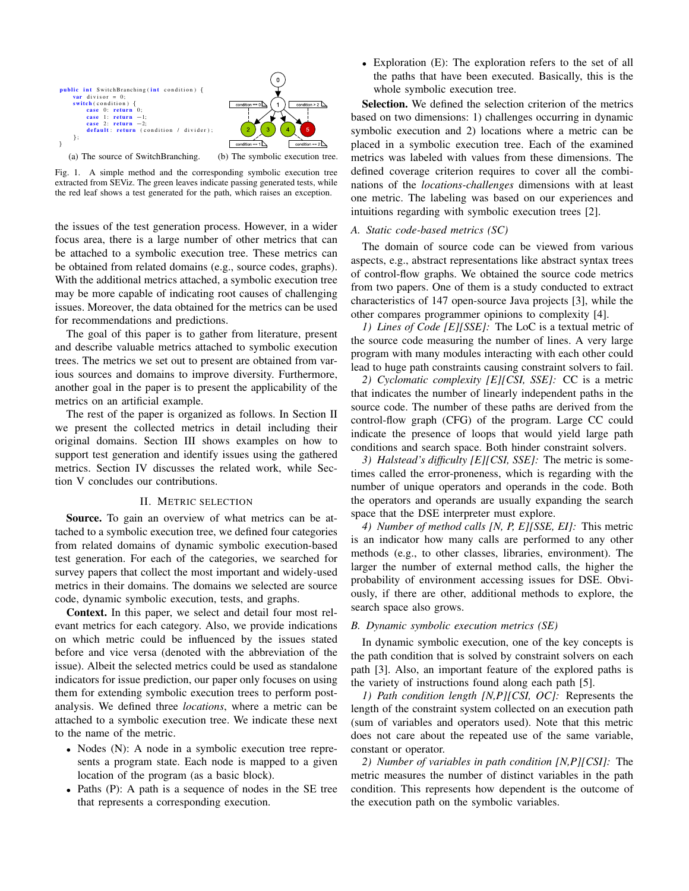

<span id="page-1-0"></span>Fig. 1. A simple method and the corresponding symbolic execution tree extracted from SEViz. The green leaves indicate passing generated tests, while the red leaf shows a test generated for the path, which raises an exception.

the issues of the test generation process. However, in a wider focus area, there is a large number of other metrics that can be attached to a symbolic execution tree. These metrics can be obtained from related domains (e.g., source codes, graphs). With the additional metrics attached, a symbolic execution tree may be more capable of indicating root causes of challenging issues. Moreover, the data obtained for the metrics can be used for recommendations and predictions.

The goal of this paper is to gather from literature, present and describe valuable metrics attached to symbolic execution trees. The metrics we set out to present are obtained from various sources and domains to improve diversity. Furthermore, another goal in the paper is to present the applicability of the metrics on an artificial example.

The rest of the paper is organized as follows. In Section [II](#page-1-1) we present the collected metrics in detail including their original domains. Section [III](#page-2-0) shows examples on how to support test generation and identify issues using the gathered metrics. Section [IV](#page-3-2) discusses the related work, while Section [V](#page-3-3) concludes our contributions.

## II. METRIC SELECTION

<span id="page-1-1"></span>Source. To gain an overview of what metrics can be attached to a symbolic execution tree, we defined four categories from related domains of dynamic symbolic execution-based test generation. For each of the categories, we searched for survey papers that collect the most important and widely-used metrics in their domains. The domains we selected are source code, dynamic symbolic execution, tests, and graphs.

Context. In this paper, we select and detail four most relevant metrics for each category. Also, we provide indications on which metric could be influenced by the issues stated before and vice versa (denoted with the abbreviation of the issue). Albeit the selected metrics could be used as standalone indicators for issue prediction, our paper only focuses on using them for extending symbolic execution trees to perform postanalysis. We defined three *locations*, where a metric can be attached to a symbolic execution tree. We indicate these next to the name of the metric.

- Nodes (N): A node in a symbolic execution tree represents a program state. Each node is mapped to a given location of the program (as a basic block).
- Paths (P): A path is a sequence of nodes in the SE tree that represents a corresponding execution.

• Exploration (E): The exploration refers to the set of all the paths that have been executed. Basically, this is the whole symbolic execution tree.

Selection. We defined the selection criterion of the metrics based on two dimensions: 1) challenges occurring in dynamic symbolic execution and 2) locations where a metric can be placed in a symbolic execution tree. Each of the examined metrics was labeled with values from these dimensions. The defined coverage criterion requires to cover all the combinations of the *locations-challenges* dimensions with at least one metric. The labeling was based on our experiences and intuitions regarding with symbolic execution trees [\[2\]](#page-3-1).

## *A. Static code-based metrics (SC)*

The domain of source code can be viewed from various aspects, e.g., abstract representations like abstract syntax trees of control-flow graphs. We obtained the source code metrics from two papers. One of them is a study conducted to extract characteristics of 147 open-source Java projects [\[3\]](#page-3-4), while the other compares programmer opinions to complexity [\[4\]](#page-3-5).

*1) Lines of Code [E][SSE]:* The LoC is a textual metric of the source code measuring the number of lines. A very large program with many modules interacting with each other could lead to huge path constraints causing constraint solvers to fail.

*2) Cyclomatic complexity [E][CSI, SSE]:* CC is a metric that indicates the number of linearly independent paths in the source code. The number of these paths are derived from the control-flow graph (CFG) of the program. Large CC could indicate the presence of loops that would yield large path conditions and search space. Both hinder constraint solvers.

*3) Halstead's difficulty [E][CSI, SSE]:* The metric is sometimes called the error-proneness, which is regarding with the number of unique operators and operands in the code. Both the operators and operands are usually expanding the search space that the DSE interpreter must explore.

*4) Number of method calls [N, P, E][SSE, EI]:* This metric is an indicator how many calls are performed to any other methods (e.g., to other classes, libraries, environment). The larger the number of external method calls, the higher the probability of environment accessing issues for DSE. Obviously, if there are other, additional methods to explore, the search space also grows.

#### *B. Dynamic symbolic execution metrics (SE)*

In dynamic symbolic execution, one of the key concepts is the path condition that is solved by constraint solvers on each path [\[3\]](#page-3-4). Also, an important feature of the explored paths is the variety of instructions found along each path [\[5\]](#page-3-6).

*1) Path condition length [N,P][CSI, OC]:* Represents the length of the constraint system collected on an execution path (sum of variables and operators used). Note that this metric does not care about the repeated use of the same variable, constant or operator.

*2) Number of variables in path condition [N,P][CSI]:* The metric measures the number of distinct variables in the path condition. This represents how dependent is the outcome of the execution path on the symbolic variables.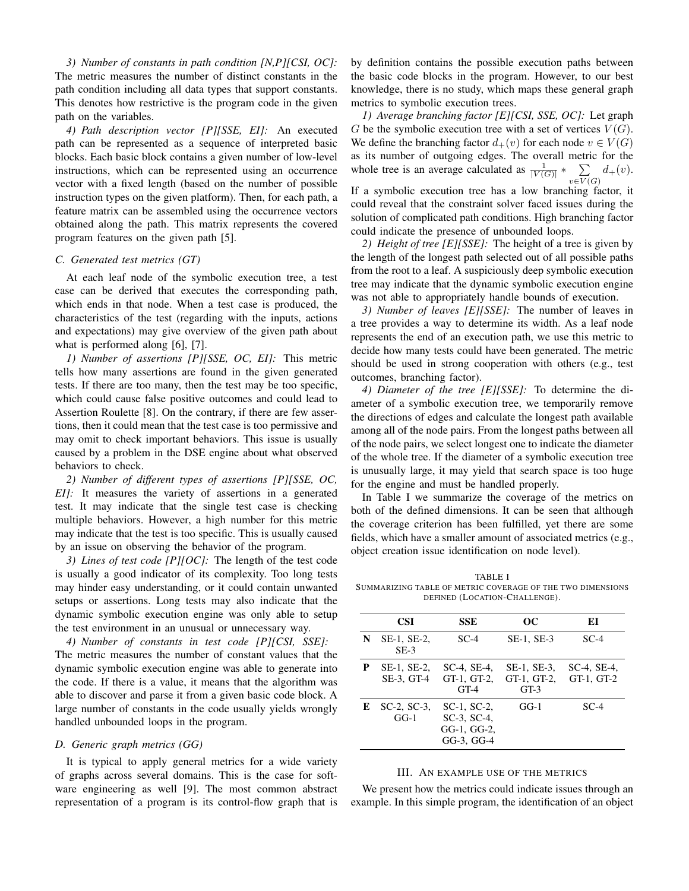<span id="page-2-2"></span>*3) Number of constants in path condition [N,P][CSI, OC]:* The metric measures the number of distinct constants in the path condition including all data types that support constants. This denotes how restrictive is the program code in the given path on the variables.

*4) Path description vector [P][SSE, EI]:* An executed path can be represented as a sequence of interpreted basic blocks. Each basic block contains a given number of low-level instructions, which can be represented using an occurrence vector with a fixed length (based on the number of possible instruction types on the given platform). Then, for each path, a feature matrix can be assembled using the occurrence vectors obtained along the path. This matrix represents the covered program features on the given path [\[5\]](#page-3-6).

#### *C. Generated test metrics (GT)*

At each leaf node of the symbolic execution tree, a test case can be derived that executes the corresponding path, which ends in that node. When a test case is produced, the characteristics of the test (regarding with the inputs, actions and expectations) may give overview of the given path about what is performed along [\[6\]](#page-3-7), [\[7\]](#page-3-8).

*1) Number of assertions [P][SSE, OC, EI]:* This metric tells how many assertions are found in the given generated tests. If there are too many, then the test may be too specific, which could cause false positive outcomes and could lead to Assertion Roulette [\[8\]](#page-3-9). On the contrary, if there are few assertions, then it could mean that the test case is too permissive and may omit to check important behaviors. This issue is usually caused by a problem in the DSE engine about what observed behaviors to check.

*2) Number of different types of assertions [P][SSE, OC, EI]:* It measures the variety of assertions in a generated test. It may indicate that the single test case is checking multiple behaviors. However, a high number for this metric may indicate that the test is too specific. This is usually caused by an issue on observing the behavior of the program.

<span id="page-2-3"></span>*3) Lines of test code [P][OC]:* The length of the test code is usually a good indicator of its complexity. Too long tests may hinder easy understanding, or it could contain unwanted setups or assertions. Long tests may also indicate that the dynamic symbolic execution engine was only able to setup the test environment in an unusual or unnecessary way.

*4) Number of constants in test code [P][CSI, SSE]:* The metric measures the number of constant values that the dynamic symbolic execution engine was able to generate into the code. If there is a value, it means that the algorithm was able to discover and parse it from a given basic code block. A large number of constants in the code usually yields wrongly handled unbounded loops in the program.

#### *D. Generic graph metrics (GG)*

It is typical to apply general metrics for a wide variety of graphs across several domains. This is the case for software engineering as well [\[9\]](#page-3-10). The most common abstract representation of a program is its control-flow graph that is

by definition contains the possible execution paths between the basic code blocks in the program. However, to our best knowledge, there is no study, which maps these general graph metrics to symbolic execution trees.

<span id="page-2-4"></span>*1) Average branching factor [E][CSI, SSE, OC]:* Let graph G be the symbolic execution tree with a set of vertices  $V(G)$ . We define the branching factor  $d_+(v)$  for each node  $v \in V(G)$ as its number of outgoing edges. The overall metric for the whole tree is an average calculated as  $\frac{1}{|V(G)|} * \sum_{n=1}^{\infty}$  $\sum_{v \in V(G)} d_+(v).$ If a symbolic execution tree has a low branching factor, it

could reveal that the constraint solver faced issues during the solution of complicated path conditions. High branching factor could indicate the presence of unbounded loops.

*2) Height of tree [E][SSE]:* The height of a tree is given by the length of the longest path selected out of all possible paths from the root to a leaf. A suspiciously deep symbolic execution tree may indicate that the dynamic symbolic execution engine was not able to appropriately handle bounds of execution.

*3) Number of leaves [E][SSE]:* The number of leaves in a tree provides a way to determine its width. As a leaf node represents the end of an execution path, we use this metric to decide how many tests could have been generated. The metric should be used in strong cooperation with others (e.g., test outcomes, branching factor).

*4) Diameter of the tree [E][SSE]:* To determine the diameter of a symbolic execution tree, we temporarily remove the directions of edges and calculate the longest path available among all of the node pairs. From the longest paths between all of the node pairs, we select longest one to indicate the diameter of the whole tree. If the diameter of a symbolic execution tree is unusually large, it may yield that search space is too huge for the engine and must be handled properly.

In Table [I](#page-2-1) we summarize the coverage of the metrics on both of the defined dimensions. It can be seen that although the coverage criterion has been fulfilled, yet there are some fields, which have a smaller amount of associated metrics (e.g., object creation issue identification on node level).

<span id="page-2-1"></span>TABLE I SUMMARIZING TABLE OF METRIC COVERAGE OF THE TWO DIMENSIONS DEFINED (LOCATION-CHALLENGE).

|   | <b>CSI</b>                  | <b>SSE</b>                                                        | oc                                   | ЕI                              |
|---|-----------------------------|-------------------------------------------------------------------|--------------------------------------|---------------------------------|
| N | SE-1, SE-2,<br>$SE-3$       | $SC-4$                                                            | $SE-1$ , $SE-3$                      | $SC-4$                          |
| P | SE-1, SE-2,<br>SE-3, GT-4   | $SC-4$ , $SE-4$ ,<br>GT-1, GT-2,<br>$GT-4$                        | SE-1, SE-3,<br>GT-1, GT-2,<br>$GT-3$ | $SC-4$ , $SE-4$ ,<br>GT-1, GT-2 |
| E | $SC-2$ , $SC-3$ ,<br>$GG-1$ | $SC-1. SC-2.$<br>$SC-3$ , $SC-4$ ,<br>GG-1, GG-2,<br>$GG-3, GG-4$ | $GG-1$                               | $SC-4$                          |

### III. AN EXAMPLE USE OF THE METRICS

<span id="page-2-0"></span>We present how the metrics could indicate issues through an example. In this simple program, the identification of an object